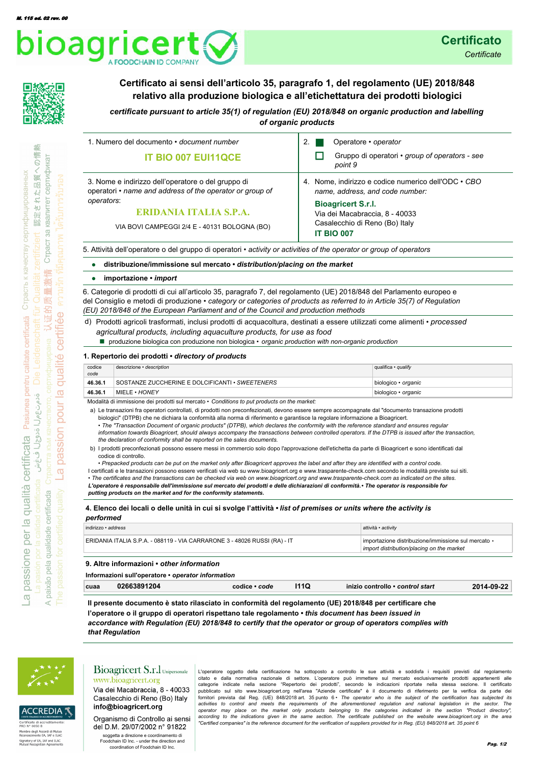



## **Certificato ai sensi dell'articolo 35, paragrafo 1, del regolamento (UE) 2018/848 relativo alla produzione biologica e all'etichettatura dei prodotti biologici**

*certificate pursuant to article 35(1) of regulation (EU) 2018/848 on organic production and labelling of organic products* 

| 1. Numero del documento • document number                                                                                                                                                              | Operatore • operator                                                                                                                                                                                         |
|--------------------------------------------------------------------------------------------------------------------------------------------------------------------------------------------------------|--------------------------------------------------------------------------------------------------------------------------------------------------------------------------------------------------------------|
| <b>IT BIO 007 EUI11QCE</b>                                                                                                                                                                             | Gruppo di operatori • group of operators - see<br>point 9                                                                                                                                                    |
| 3. Nome e indirizzo dell'operatore o del gruppo di<br>operatori • name and address of the operator or group of<br>operators:<br>ERIDANIA ITALIA S.P.A.<br>VIA BOVI CAMPEGGI 2/4 E - 40131 BOLOGNA (BO) | 4. Nome, indirizzo e codice numerico dell'ODC • CBO<br>name, address, and code number:<br><b>Bioagricert S.r.l.</b><br>Via dei Macabraccia, 8 - 40033<br>Casalecchio di Reno (Bo) Italy<br><b>IT BIO 007</b> |

5. Attività dell'operatore o del gruppo di operatori • *activity or activities of the operator or group of operators*

#### **distribuzione/immissione sul mercato •** *distribution/placing on the market* **•**

#### **importazione •** *import* **•**

6. Categorie di prodotti di cui all'articolo 35, paragrafo 7, del regolamento (UE) 2018/848 del Parlamento europeo e del Consiglio e metodi di produzione • *category or categories of products as referred to in Article 35(7) of Regulation (EU) 2018/848 of the European Parliament and of the Council and production methods*

Prodotti agricoli trasformati, inclusi prodotti di acquacoltura, destinati a essere utilizzati come alimenti • *processed*  d) *agricultural products, including aquaculture products, for use as food*

■ produzione biologica con produzione non biologica • *organic production with non-organic production* 

#### **1. Repertorio dei prodotti •** *directory of products*

| codice<br>code | descrizione · description                       | qualifica • qualify |
|----------------|-------------------------------------------------|---------------------|
| 46.36.1        | SOSTANZE ZUCCHERINE E DOLCIFICANTI • SWEETENERS | biologico • organic |
| 46.36.1        | MIELE • HONEY                                   | biologico • organic |

Modalità di immissione dei prodotti sul mercato • *Conditions to put products on the market:*

a) Le transazioni fra operatori controllati, di prodotti non preconfezionati, devono essere sempre accompagnate dal "documento transazione prodotti biologici" (DTPB) che ne dichiara la conformità alla norma di riferimento e garantisce la regolare informazione a Bioagricert.

• *The "Transaction Document of organic products" (DTPB), which declares the conformity with the reference standard and ensures regular information towards Bioagricert, should always accompany the transactions between controlled operators. If the DTPB is issued after the transaction, the declaration of conformity shall be reported on the sales documents.*

b) I prodotti preconfezionati possono essere messi in commercio solo dopo l'approvazione dell'etichetta da parte di Bioagricert e sono identificati dal codice di controllo.

• *Prepacked products can be put on the market only after Bioagricert approves the label and after they are identified with a control code.*

I certificati e le transazioni possono essere verificati via web su www.bioagricert.org e www.trasparente-check.com secondo le modalità previste sui siti. • *The certificates and the transactions can be checked via web on www.bioagricert.org and www.trasparente-check.com as indicated on the sites. L'operatore è responsabile dell'immissione sul mercato dei prodotti e delle dichiarazioni di conformità.* **•** *The operator is responsible for* 

*putting products on the market and for the conformity statements.*

## **4. Elenco dei locali o delle unità in cui si svolge l'attività •** *list of premises or units where the activity is*

| performed                                                                 |                                                                                                  |
|---------------------------------------------------------------------------|--------------------------------------------------------------------------------------------------|
| indirizzo · address                                                       | attività · activity                                                                              |
| ERIDANIA ITALIA S.P.A. - 088119 - VIA CARRARONE 3 - 48026 RUSSI (RA) - IT | importazione distribuzione/immissione sul mercato •<br>import distribution/placing on the market |
| 9. Altre informazioni • other information                                 |                                                                                                  |

**Informazioni sull'operatore •** *operator information*

| cuaa | 3891204 | 1.11<br>code<br>codice | שו | › • control start<br>⊦controllo | ົາາ<br>2011 NO |
|------|---------|------------------------|----|---------------------------------|----------------|
|      |         |                        |    |                                 |                |

**Il presente documento è stato rilasciato in conformità del regolamento (UE) 2018/848 per certificare che l'operatore o il gruppo di operatori rispettano tale regolamento •** *this document has been issued in accordance with Regulation (EU) 2018/848 to certify that the operator or group of operators complies with that Regulation*



**CCREDIA** 

tresses<br>bro degli Accordi<br>noscimento EA, IA Signatory of EA, IAF and ILAC<br>Mutual Recognition Agreemen

 $\prec$ 

### Bioagricert S.r.l Unipersonale www.bioagricert.org

Via dei Macabraccia, 8 - 40033 Casalecchio di Reno (Bo) Italy info@bioagricert.org

Organismo di Controllo ai sensi del D.M. 29/07/2002 n° 91822 soggetta a direzione e coordinamento di

Foodchain ID Inc. - under the direction and coordination of Foodchain ID Inc.

L'operatore oggetto della certificazione ha sottoposto a controllo le sue attività e soddisfa i requisiti previsti dal regolamento citato e dalla normativa nazionale di settore. L'operatore può immettere sul mercato esclusivamente prodotti appartenenti alle categorie indicate nella sezione "Repertorio dei prodotti", secondo le indicazioni riportate nella stessa sezione. Il certificato<br>pubblicato sul sito www.bioagricert.org nell'area "Aziende certificate" è il documento di ri fornitori prevista dal Reg. (UE) 848/2018 art. 35 punto 6 · The operator who is the subject of the certification has subjected its<br>activities to control and meets the requirements of the aforementioned regulation and natio operator may place on the market only products belonging to the categories indicated in the section "Product directory",<br>according to the indications given in the same section. The certificate published on the website www. *"Certified companies" is the reference document for the verification of suppliers provided for in Reg. (EU) 848/2018 art. 35 point 6*